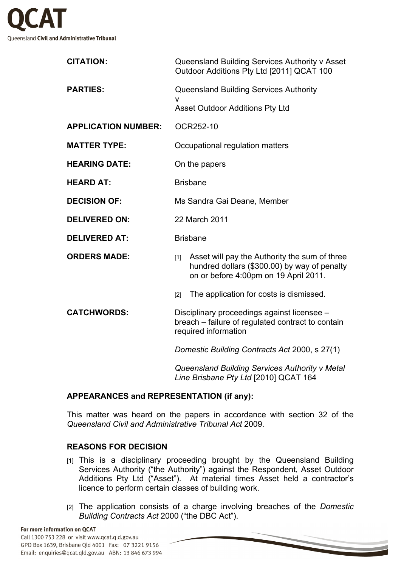

| <b>CITATION:</b>           | Queensland Building Services Authority v Asset<br>Outdoor Additions Pty Ltd [2011] QCAT 100                                                     |
|----------------------------|-------------------------------------------------------------------------------------------------------------------------------------------------|
| <b>PARTIES:</b>            | <b>Queensland Building Services Authority</b>                                                                                                   |
|                            | v<br><b>Asset Outdoor Additions Pty Ltd</b>                                                                                                     |
| <b>APPLICATION NUMBER:</b> | OCR252-10                                                                                                                                       |
| <b>MATTER TYPE:</b>        | Occupational regulation matters                                                                                                                 |
| <b>HEARING DATE:</b>       | On the papers                                                                                                                                   |
| <b>HEARD AT:</b>           | <b>Brisbane</b>                                                                                                                                 |
| <b>DECISION OF:</b>        | Ms Sandra Gai Deane, Member                                                                                                                     |
| <b>DELIVERED ON:</b>       | 22 March 2011                                                                                                                                   |
| <b>DELIVERED AT:</b>       | <b>Brisbane</b>                                                                                                                                 |
| <b>ORDERS MADE:</b>        | Asset will pay the Authority the sum of three<br>$[1]$<br>hundred dollars (\$300.00) by way of penalty<br>on or before 4:00pm on 19 April 2011. |
|                            | The application for costs is dismissed.<br>[2]                                                                                                  |
| <b>CATCHWORDS:</b>         | Disciplinary proceedings against licensee -<br>breach – failure of regulated contract to contain<br>required information                        |
|                            | Domestic Building Contracts Act 2000, s 27(1)                                                                                                   |
|                            | Queensland Building Services Authority v Metal<br>Line Brisbane Pty Ltd [2010] QCAT 164                                                         |

## **APPEARANCES and REPRESENTATION (if any):**

This matter was heard on the papers in accordance with section 32 of the *Queensland Civil and Administrative Tribunal Act* 2009.

## **REASONS FOR DECISION**

- [1] This is a disciplinary proceeding brought by the Queensland Building Services Authority ("the Authority") against the Respondent, Asset Outdoor Additions Pty Ltd ("Asset"). At material times Asset held a contractor's licence to perform certain classes of building work.
- [2] The application consists of a charge involving breaches of the *Domestic Building Contracts Act* 2000 ("the DBC Act").

#### For more information on QCAT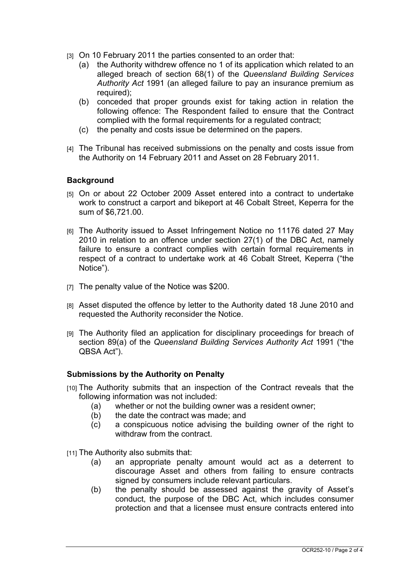- [3] On 10 February 2011 the parties consented to an order that:
	- (a) the Authority withdrew offence no 1 of its application which related to an alleged breach of section 68(1) of the *Queensland Building Services Authority Act* 1991 (an alleged failure to pay an insurance premium as required):
	- (b) conceded that proper grounds exist for taking action in relation the following offence: The Respondent failed to ensure that the Contract complied with the formal requirements for a regulated contract;
	- (c) the penalty and costs issue be determined on the papers.
- [4] The Tribunal has received submissions on the penalty and costs issue from the Authority on 14 February 2011 and Asset on 28 February 2011.

# **Background**

- [5] On or about 22 October 2009 Asset entered into a contract to undertake work to construct a carport and bikeport at 46 Cobalt Street, Keperra for the sum of \$6,721.00.
- [6] The Authority issued to Asset Infringement Notice no 11176 dated 27 May 2010 in relation to an offence under section 27(1) of the DBC Act, namely failure to ensure a contract complies with certain formal requirements in respect of a contract to undertake work at 46 Cobalt Street, Keperra ("the Notice").
- [7] The penalty value of the Notice was \$200.
- [8] Asset disputed the offence by letter to the Authority dated 18 June 2010 and requested the Authority reconsider the Notice.
- [9] The Authority filed an application for disciplinary proceedings for breach of section 89(a) of the *Queensland Building Services Authority Act* 1991 ("the QBSA Act").

## **Submissions by the Authority on Penalty**

- [10] The Authority submits that an inspection of the Contract reveals that the following information was not included:
	- (a) whether or not the building owner was a resident owner;
	- (b) the date the contract was made; and
	- (c) a conspicuous notice advising the building owner of the right to withdraw from the contract.

[11] The Authority also submits that:

- (a) an appropriate penalty amount would act as a deterrent to discourage Asset and others from failing to ensure contracts signed by consumers include relevant particulars.
- (b) the penalty should be assessed against the gravity of Asset's conduct, the purpose of the DBC Act, which includes consumer protection and that a licensee must ensure contracts entered into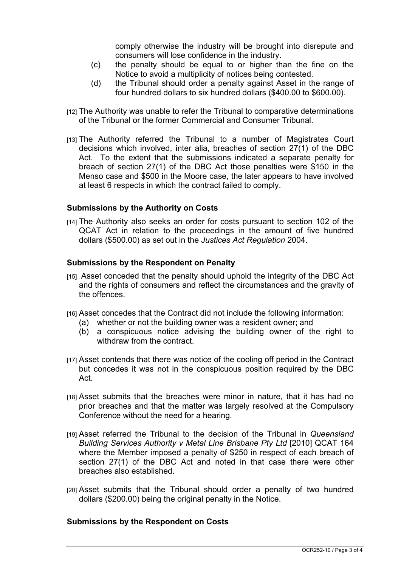comply otherwise the industry will be brought into disrepute and consumers will lose confidence in the industry.

- (c) the penalty should be equal to or higher than the fine on the Notice to avoid a multiplicity of notices being contested.
- (d) the Tribunal should order a penalty against Asset in the range of four hundred dollars to six hundred dollars (\$400.00 to \$600.00).
- [12] The Authority was unable to refer the Tribunal to comparative determinations of the Tribunal or the former Commercial and Consumer Tribunal.
- [13] The Authority referred the Tribunal to a number of Magistrates Court decisions which involved, inter alia, breaches of section 27(1) of the DBC Act. To the extent that the submissions indicated a separate penalty for breach of section 27(1) of the DBC Act those penalties were \$150 in the Menso case and \$500 in the Moore case, the later appears to have involved at least 6 respects in which the contract failed to comply.

## **Submissions by the Authority on Costs**

[14] The Authority also seeks an order for costs pursuant to section 102 of the QCAT Act in relation to the proceedings in the amount of five hundred dollars (\$500.00) as set out in the *Justices Act Regulation* 2004.

# **Submissions by the Respondent on Penalty**

- [15] Asset conceded that the penalty should uphold the integrity of the DBC Act and the rights of consumers and reflect the circumstances and the gravity of the offences.
- [16] Asset concedes that the Contract did not include the following information:
	- (a) whether or not the building owner was a resident owner; and
	- (b) a conspicuous notice advising the building owner of the right to withdraw from the contract.
- [17] Asset contends that there was notice of the cooling off period in the Contract but concedes it was not in the conspicuous position required by the DBC Act.
- [18] Asset submits that the breaches were minor in nature, that it has had no prior breaches and that the matter was largely resolved at the Compulsory Conference without the need for a hearing.
- [19] Asset referred the Tribunal to the decision of the Tribunal in *Queensland Building Services Authority v Metal Line Brisbane Pty Ltd* [2010] QCAT 164 where the Member imposed a penalty of \$250 in respect of each breach of section 27(1) of the DBC Act and noted in that case there were other breaches also established.
- [20] Asset submits that the Tribunal should order a penalty of two hundred dollars (\$200.00) being the original penalty in the Notice.

## **Submissions by the Respondent on Costs**